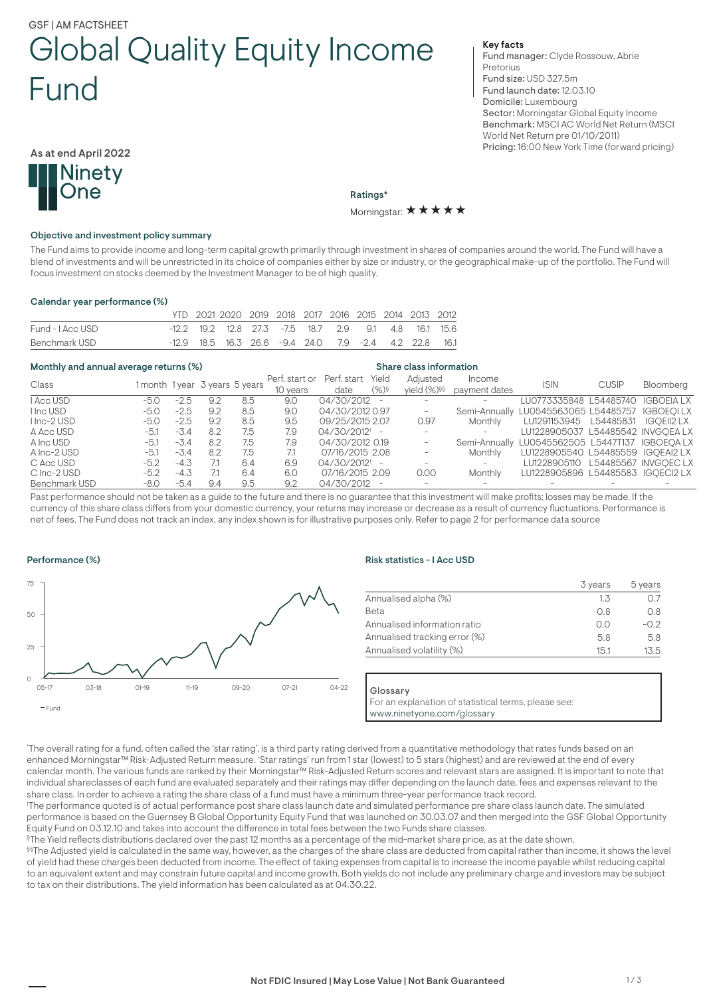# GSF | AM FACTSHEET Global Quality Equity Income Fund

Key facts

Fund manager: Clyde Rossouw, Abrie **Pretorius** Fund size: USD 327.5m Fund launch date: 12.03.10 Domicile: Luxembourg Sector: Morningstar Global Equity Income Benchmark: MSCI AC World Net Return (MSCI World Net Return pre 01/10/2011) Pricing: 16:00 New York Time (forward pricing)

As at end April 2022



Ratings\* Morningstar:  $\star \star \star \star \star$ 

#### Objective and investment policy summary

The Fund aims to provide income and long-term capital growth primarily through investment in shares of companies around the world. The Fund will have a blend of investments and will be unrestricted in its choice of companies either by size or industry, or the geographical make-up of the portfolio. The Fund will focus investment on stocks deemed by the Investment Manager to be of high quality.

#### Calendar year performance (%)

|                  | YTD 2021 2020 2019 2018 2017 2016 2015 2014 2013 2012 |  |  |  |  |  |
|------------------|-------------------------------------------------------|--|--|--|--|--|
| Fund - I Acc USD | -12.2 19.2 12.8 27.3 -7.5 18.7 2.9 9.1 4.8 16.1 15.6  |  |  |  |  |  |
| Benchmark USD    | -12.9 18.5 16.3 26.6 -9.4 24.0 7.9 -2.4 4.2 22.8 16.1 |  |  |  |  |  |

# Monthly and annual average returns (%) Share class information

| Class         |        |        |     |                                | Perf. start or | Perf. start Yield           |      | Adiusted                        | Income                   | <b>ISIN</b>                                     | <b>CUSIP</b> | Bloomberg  |
|---------------|--------|--------|-----|--------------------------------|----------------|-----------------------------|------|---------------------------------|--------------------------|-------------------------------------------------|--------------|------------|
|               |        |        |     | 1 month 1 year 3 years 5 years | 10 years       | date                        | (%)§ | vield $(\%)$ §§                 | payment dates            |                                                 |              |            |
| I Acc USD     | -5.0   | $-2.5$ | 9.2 | 8.5                            | 9.0            | 04/30/2012 -                |      |                                 |                          | LU0773335848 L54485740 IGBOEIA LX               |              |            |
| I Inc USD     | $-5.0$ | $-2.5$ | 9.2 | 8.5                            | 9.0            | 04/30/2012 0.97             |      | $\hspace{0.1mm}-\hspace{0.1mm}$ |                          | Semi-Annually LU0545563065 L54485757 IGBOEQILX  |              |            |
| I Inc-2 USD   | $-5.0$ | $-2.5$ | 9.2 | 8.5                            | 9.5            | 09/25/2015 2.07             |      | 0.97                            | Monthly                  | LU1291153945    L54485831                       |              | IGOEII2 LX |
| A Acc USD     | -5.1   | $-3.4$ | 8.2 | 7.5                            | 7.9            | $04/30/2012$ <sup>†</sup> – |      |                                 | $\overline{\phantom{0}}$ | LU1228905037 L54485542 INVGOEA LX               |              |            |
| A Inc USD     | -5.1   | $-3.4$ | 8.2 | 7.5                            | 7.9            | 04/30/2012 0.19             |      |                                 |                          | Semi-Annually LU0545562505 L5447T137 IGBOEOA LX |              |            |
| A Inc-2 USD   | $-5.1$ | $-3.4$ | 8.2 | 7.5                            | 7.1            | 07/16/2015 2.08             |      |                                 | Monthly                  | LU1228905540 L54485559 IGOEAI2 LX               |              |            |
| C Acc USD     | $-5.2$ | $-4.3$ |     | 6.4                            | 6.9            | $04/30/2012$ <sup>†</sup> – |      |                                 | $\overline{\phantom{0}}$ | LU1228905110 L54485567 INVGOECLX                |              |            |
| C Inc-2 USD   | $-5.2$ | $-4.3$ |     | 6.4                            | 6.0            | 07/16/2015 2.09             |      | 0.00                            | Monthly                  | LU1228905896 L54485583 IGOECI2 LX               |              |            |
| Benchmark USD | -8.0   | $-5.4$ | 9.4 | 9.5                            | 9.2            | 04/30/2012 -                |      |                                 |                          |                                                 |              |            |

Past performance should not be taken as a guide to the future and there is no guarantee that this investment will make profits; losses may be made. If the currency of this share class differs from your domestic currency, your returns may increase or decrease as a result of currency fluctuations. Performance is net of fees. The Fund does not track an index, any index shown is for illustrative purposes only. Refer to page 2 for performance data source

# Performance (%)



# Risk statistics - I Acc USD

|                               | 3 years | 5 years |
|-------------------------------|---------|---------|
| Annualised alpha (%)          | 1.3     | 0.7     |
| <b>Beta</b>                   | 0.8     | 0.8     |
| Annualised information ratio  | 0.0     | $-0.2$  |
| Annualised tracking error (%) | 5.8     | 5.8     |
| Annualised volatility (%)     | 15.1    | 13.5    |

#### Glossary

For an explanation of statistical terms, please see: www.ninetyone.com/glossary

\* The overall rating for a fund, often called the 'star rating', is a third party rating derived from a quantitative methodology that rates funds based on an enhanced Morningstar™ Risk-Adjusted Return measure. 'Star ratings' run from 1 star (lowest) to 5 stars (highest) and are reviewed at the end of every calendar month. The various funds are ranked by their Morningstar™ Risk-Adjusted Return scores and relevant stars are assigned. It is important to note that individual shareclasses of each fund are evaluated separately and their ratings may differ depending on the launch date, fees and expenses relevant to the share class. In order to achieve a rating the share class of a fund must have a minimum three-year performance track record.

† The performance quoted is of actual performance post share class launch date and simulated performance pre share class launch date. The simulated performance is based on the Guernsey B Global Opportunity Equity Fund that was launched on 30.03.07 and then merged into the GSF Global Opportunity Equity Fund on 03.12.10 and takes into account the difference in total fees between the two Funds share classes.

§The Yield reflects distributions declared over the past 12 months as a percentage of the mid-market share price, as at the date shown.

§§The Adjusted yield is calculated in the same way, however, as the charges of the share class are deducted from capital rather than income, it shows the level of yield had these charges been deducted from income. The effect of taking expenses from capital is to increase the income payable whilst reducing capital to an equivalent extent and may constrain future capital and income growth. Both yields do not include any preliminary charge and investors may be subject to tax on their distributions. The yield information has been calculated as at 04.30.22.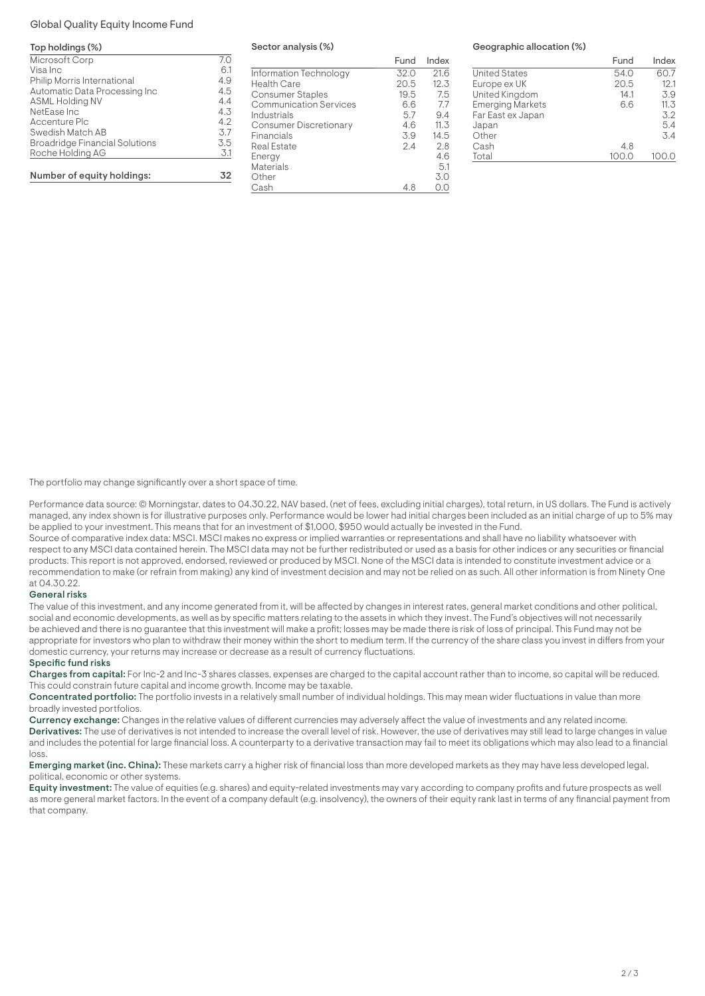## Global Quality Equity Income Fund

#### Top holdings (%)

| Microsoft Corp                        | 7.0 |
|---------------------------------------|-----|
| Visa Inc                              | 6.1 |
| Philip Morris International           | 4.9 |
| Automatic Data Processing Inc         | 4.5 |
| <b>ASML Holding NV</b>                | 4.4 |
| NetEase Inc                           | 4.3 |
| Accenture Plc                         | 4.2 |
| Swedish Match AB                      | 3.7 |
| <b>Broadridge Financial Solutions</b> | 3.5 |
| Roche Holding AG                      | 3.1 |
|                                       |     |
| Number of equity holdings:            | 32  |

Sector analysis (%)

|                               | Fund | Index |
|-------------------------------|------|-------|
| Information Technology        | 32.0 | 21.6  |
| Health Care                   | 20.5 | 12.3  |
| Consumer Staples              | 19.5 | 7.5   |
| <b>Communication Services</b> | 6.6  | 7.7   |
| Industrials                   | 5.7  | 9.4   |
| <b>Consumer Discretionary</b> | 4.6  | 11.3  |
| Financials                    | 3.9  | 14.5  |
| Real Estate                   | 2.4  | 2.8   |
| Energy                        |      | 4.6   |
| Materials                     |      | 5.1   |
| Other                         |      | 3.0   |
| Cash                          |      |       |

#### Geographic allocation (%)

|                         | Fund  | Index |
|-------------------------|-------|-------|
| <b>United States</b>    | 54.0  | 60.7  |
| Europe ex UK            | 20.5  | 12.1  |
| United Kingdom          | 14.1  | 3.9   |
| <b>Emerging Markets</b> | 6.6   | 11.3  |
| Far East ex Japan       |       | 3.2   |
| Japan                   |       | 5.4   |
| Other                   |       | 3.4   |
| Cash                    | 4.8   |       |
| Total                   | 100.0 | 100.0 |
|                         |       |       |

The portfolio may change significantly over a short space of time.

Performance data source: © Morningstar, dates to 04.30.22, NAV based, (net of fees, excluding initial charges), total return, in US dollars. The Fund is actively managed, any index shown is for illustrative purposes only. Performance would be lower had initial charges been included as an initial charge of up to 5% may be applied to your investment. This means that for an investment of \$1,000, \$950 would actually be invested in the Fund.

Source of comparative index data: MSCI. MSCI makes no express or implied warranties or representations and shall have no liability whatsoever with respect to any MSCI data contained herein. The MSCI data may not be further redistributed or used as a basis for other indices or any securities or financial products. This report is not approved, endorsed, reviewed or produced by MSCI. None of the MSCI data is intended to constitute investment advice or a recommendation to make (or refrain from making) any kind of investment decision and may not be relied on as such. All other information is from Ninety One at 04.30.22.

#### General risks

The value of this investment, and any income generated from it, will be affected by changes in interest rates, general market conditions and other political, social and economic developments, as well as by specific matters relating to the assets in which they invest. The Fund's objectives will not necessarily be achieved and there is no guarantee that this investment will make a profit; losses may be made there is risk of loss of principal. This Fund may not be appropriate for investors who plan to withdraw their money within the short to medium term. If the currency of the share class you invest in differs from your domestic currency, your returns may increase or decrease as a result of currency fluctuations.

#### Specific fund risks

Charges from capital: For Inc-2 and Inc-3 shares classes, expenses are charged to the capital account rather than to income, so capital will be reduced. This could constrain future capital and income growth. Income may be taxable.

Concentrated portfolio: The portfolio invests in a relatively small number of individual holdings. This may mean wider fluctuations in value than more broadly invested portfolios.

Currency exchange: Changes in the relative values of different currencies may adversely affect the value of investments and any related income. Derivatives: The use of derivatives is not intended to increase the overall level of risk. However, the use of derivatives may still lead to large changes in value and includes the potential for large financial loss. A counterparty to a derivative transaction may fail to meet its obligations which may also lead to a financial loss.

Emerging market (inc. China): These markets carry a higher risk of financial loss than more developed markets as they may have less developed legal, political, economic or other systems.

Equity investment: The value of equities (e.g. shares) and equity-related investments may vary according to company profits and future prospects as well as more general market factors. In the event of a company default (e.g. insolvency), the owners of their equity rank last in terms of any financial payment from that company.